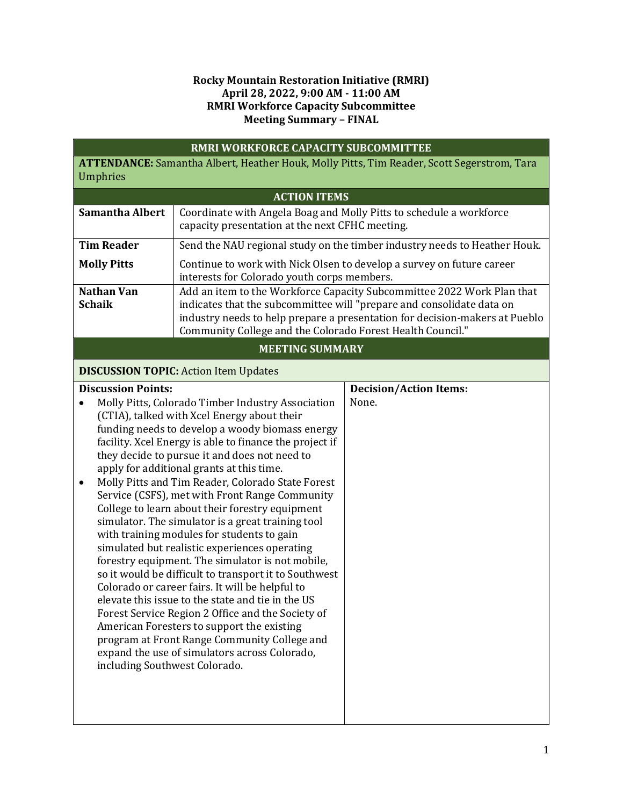## **Rocky Mountain Restoration Initiative (RMRI) April 28, 2022, 9:00 AM - 11:00 AM RMRI Workforce Capacity Subcommittee Meeting Summary – FINAL**

|                                                                                                        |                               | RMRI WORKFORCE CAPACITY SUBCOMMITTEE                                                                                                                                                                                                                                                         |                                                                           |  |  |
|--------------------------------------------------------------------------------------------------------|-------------------------------|----------------------------------------------------------------------------------------------------------------------------------------------------------------------------------------------------------------------------------------------------------------------------------------------|---------------------------------------------------------------------------|--|--|
| ATTENDANCE: Samantha Albert, Heather Houk, Molly Pitts, Tim Reader, Scott Segerstrom, Tara<br>Umphries |                               |                                                                                                                                                                                                                                                                                              |                                                                           |  |  |
|                                                                                                        |                               | <b>ACTION ITEMS</b>                                                                                                                                                                                                                                                                          |                                                                           |  |  |
|                                                                                                        | <b>Samantha Albert</b>        | Coordinate with Angela Boag and Molly Pitts to schedule a workforce                                                                                                                                                                                                                          |                                                                           |  |  |
|                                                                                                        |                               | capacity presentation at the next CFHC meeting.                                                                                                                                                                                                                                              |                                                                           |  |  |
|                                                                                                        | <b>Tim Reader</b>             |                                                                                                                                                                                                                                                                                              | Send the NAU regional study on the timber industry needs to Heather Houk. |  |  |
| <b>Molly Pitts</b>                                                                                     |                               | interests for Colorado youth corps members.                                                                                                                                                                                                                                                  | Continue to work with Nick Olsen to develop a survey on future career     |  |  |
| <b>Nathan Van</b><br><b>Schaik</b>                                                                     |                               | Add an item to the Workforce Capacity Subcommittee 2022 Work Plan that<br>indicates that the subcommittee will "prepare and consolidate data on<br>industry needs to help prepare a presentation for decision-makers at Pueblo<br>Community College and the Colorado Forest Health Council." |                                                                           |  |  |
| <b>MEETING SUMMARY</b>                                                                                 |                               |                                                                                                                                                                                                                                                                                              |                                                                           |  |  |
|                                                                                                        |                               | <b>DISCUSSION TOPIC: Action Item Updates</b>                                                                                                                                                                                                                                                 |                                                                           |  |  |
|                                                                                                        | <b>Discussion Points:</b>     |                                                                                                                                                                                                                                                                                              | <b>Decision/Action Items:</b>                                             |  |  |
|                                                                                                        |                               | Molly Pitts, Colorado Timber Industry Association                                                                                                                                                                                                                                            | None.                                                                     |  |  |
|                                                                                                        |                               | (CTIA), talked with Xcel Energy about their<br>funding needs to develop a woody biomass energy                                                                                                                                                                                               |                                                                           |  |  |
|                                                                                                        |                               | facility. Xcel Energy is able to finance the project if                                                                                                                                                                                                                                      |                                                                           |  |  |
|                                                                                                        |                               | they decide to pursue it and does not need to                                                                                                                                                                                                                                                |                                                                           |  |  |
|                                                                                                        |                               | apply for additional grants at this time.                                                                                                                                                                                                                                                    |                                                                           |  |  |
| $\bullet$                                                                                              |                               | Molly Pitts and Tim Reader, Colorado State Forest                                                                                                                                                                                                                                            |                                                                           |  |  |
|                                                                                                        |                               | Service (CSFS), met with Front Range Community<br>College to learn about their forestry equipment                                                                                                                                                                                            |                                                                           |  |  |
|                                                                                                        |                               | simulator. The simulator is a great training tool                                                                                                                                                                                                                                            |                                                                           |  |  |
|                                                                                                        |                               | with training modules for students to gain                                                                                                                                                                                                                                                   |                                                                           |  |  |
|                                                                                                        |                               | simulated but realistic experiences operating                                                                                                                                                                                                                                                |                                                                           |  |  |
|                                                                                                        |                               | forestry equipment. The simulator is not mobile,                                                                                                                                                                                                                                             |                                                                           |  |  |
|                                                                                                        |                               | so it would be difficult to transport it to Southwest<br>Colorado or career fairs. It will be helpful to                                                                                                                                                                                     |                                                                           |  |  |
|                                                                                                        |                               | elevate this issue to the state and tie in the US                                                                                                                                                                                                                                            |                                                                           |  |  |
|                                                                                                        |                               | Forest Service Region 2 Office and the Society of                                                                                                                                                                                                                                            |                                                                           |  |  |
|                                                                                                        |                               | American Foresters to support the existing                                                                                                                                                                                                                                                   |                                                                           |  |  |
|                                                                                                        |                               | program at Front Range Community College and<br>expand the use of simulators across Colorado,                                                                                                                                                                                                |                                                                           |  |  |
|                                                                                                        | including Southwest Colorado. |                                                                                                                                                                                                                                                                                              |                                                                           |  |  |
|                                                                                                        |                               |                                                                                                                                                                                                                                                                                              |                                                                           |  |  |
|                                                                                                        |                               |                                                                                                                                                                                                                                                                                              |                                                                           |  |  |
|                                                                                                        |                               |                                                                                                                                                                                                                                                                                              |                                                                           |  |  |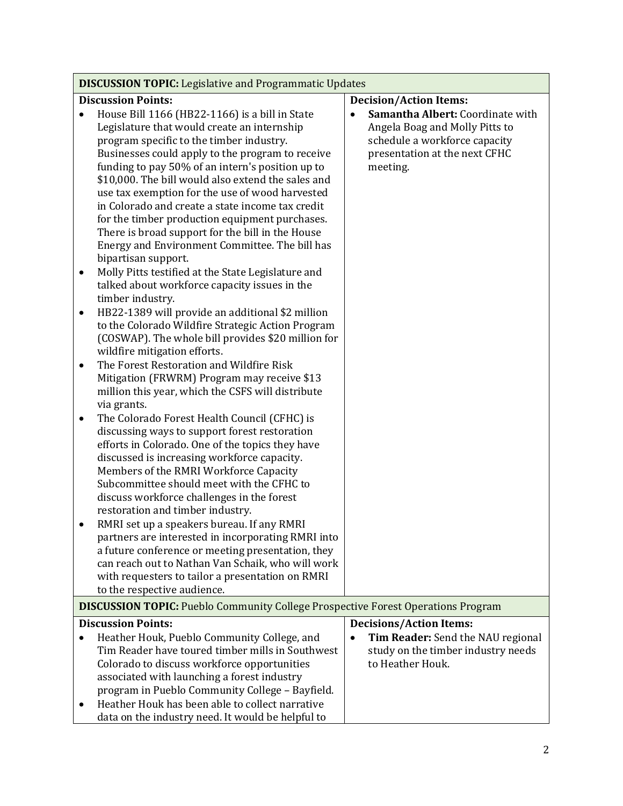| <b>DISCUSSION TOPIC:</b> Legislative and Programmatic Updates                                                                                                                                                                                                                                                                                                                                                                                                                                                                                                                                                                                                                                                                                                                                                                                                                                                                                                                                                                                                                                                                                                                                                                                                                                                                                                                                                                                                                                                                                                                                                                                                                                                                                                                                                            |                                                                                                                                                  |  |  |  |
|--------------------------------------------------------------------------------------------------------------------------------------------------------------------------------------------------------------------------------------------------------------------------------------------------------------------------------------------------------------------------------------------------------------------------------------------------------------------------------------------------------------------------------------------------------------------------------------------------------------------------------------------------------------------------------------------------------------------------------------------------------------------------------------------------------------------------------------------------------------------------------------------------------------------------------------------------------------------------------------------------------------------------------------------------------------------------------------------------------------------------------------------------------------------------------------------------------------------------------------------------------------------------------------------------------------------------------------------------------------------------------------------------------------------------------------------------------------------------------------------------------------------------------------------------------------------------------------------------------------------------------------------------------------------------------------------------------------------------------------------------------------------------------------------------------------------------|--------------------------------------------------------------------------------------------------------------------------------------------------|--|--|--|
| <b>Discussion Points:</b>                                                                                                                                                                                                                                                                                                                                                                                                                                                                                                                                                                                                                                                                                                                                                                                                                                                                                                                                                                                                                                                                                                                                                                                                                                                                                                                                                                                                                                                                                                                                                                                                                                                                                                                                                                                                | <b>Decision/Action Items:</b>                                                                                                                    |  |  |  |
| House Bill 1166 (HB22-1166) is a bill in State<br>Legislature that would create an internship<br>program specific to the timber industry.<br>Businesses could apply to the program to receive<br>funding to pay 50% of an intern's position up to<br>\$10,000. The bill would also extend the sales and<br>use tax exemption for the use of wood harvested<br>in Colorado and create a state income tax credit<br>for the timber production equipment purchases.<br>There is broad support for the bill in the House<br>Energy and Environment Committee. The bill has<br>bipartisan support.<br>Molly Pitts testified at the State Legislature and<br>$\bullet$<br>talked about workforce capacity issues in the<br>timber industry.<br>HB22-1389 will provide an additional \$2 million<br>$\bullet$<br>to the Colorado Wildfire Strategic Action Program<br>(COSWAP). The whole bill provides \$20 million for<br>wildfire mitigation efforts.<br>The Forest Restoration and Wildfire Risk<br>$\bullet$<br>Mitigation (FRWRM) Program may receive \$13<br>million this year, which the CSFS will distribute<br>via grants.<br>The Colorado Forest Health Council (CFHC) is<br>$\bullet$<br>discussing ways to support forest restoration<br>efforts in Colorado. One of the topics they have<br>discussed is increasing workforce capacity.<br>Members of the RMRI Workforce Capacity<br>Subcommittee should meet with the CFHC to<br>discuss workforce challenges in the forest<br>restoration and timber industry.<br>RMRI set up a speakers bureau. If any RMRI<br>partners are interested in incorporating RMRI into<br>a future conference or meeting presentation, they<br>can reach out to Nathan Van Schaik, who will work<br>with requesters to tailor a presentation on RMRI<br>to the respective audience. | Samantha Albert: Coordinate with<br>Angela Boag and Molly Pitts to<br>schedule a workforce capacity<br>presentation at the next CFHC<br>meeting. |  |  |  |
| <b>DISCUSSION TOPIC:</b> Pueblo Community College Prospective Forest Operations Program                                                                                                                                                                                                                                                                                                                                                                                                                                                                                                                                                                                                                                                                                                                                                                                                                                                                                                                                                                                                                                                                                                                                                                                                                                                                                                                                                                                                                                                                                                                                                                                                                                                                                                                                  |                                                                                                                                                  |  |  |  |
| <b>Discussion Points:</b>                                                                                                                                                                                                                                                                                                                                                                                                                                                                                                                                                                                                                                                                                                                                                                                                                                                                                                                                                                                                                                                                                                                                                                                                                                                                                                                                                                                                                                                                                                                                                                                                                                                                                                                                                                                                | <b>Decisions/Action Items:</b>                                                                                                                   |  |  |  |
| Heather Houk, Pueblo Community College, and<br>$\bullet$<br>Tim Reader have toured timber mills in Southwest<br>Colorado to discuss workforce opportunities<br>associated with launching a forest industry<br>program in Pueblo Community College - Bayfield.<br>Heather Houk has been able to collect narrative<br>$\bullet$<br>data on the industry need. It would be helpful to                                                                                                                                                                                                                                                                                                                                                                                                                                                                                                                                                                                                                                                                                                                                                                                                                                                                                                                                                                                                                                                                                                                                                                                                                                                                                                                                                                                                                                       | Tim Reader: Send the NAU regional<br>study on the timber industry needs<br>to Heather Houk.                                                      |  |  |  |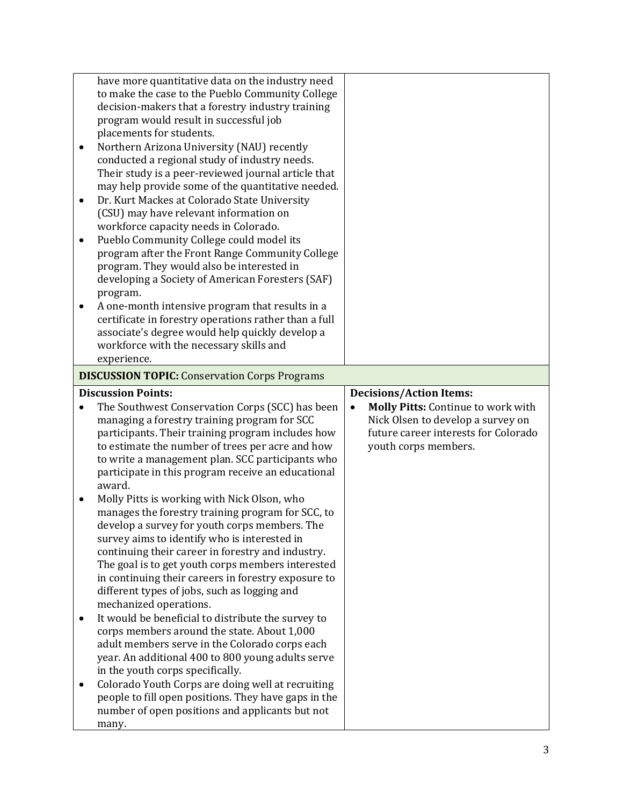| have more quantitative data on the industry need<br>to make the case to the Pueblo Community College<br>decision-makers that a forestry industry training<br>program would result in successful job<br>placements for students.<br>Northern Arizona University (NAU) recently<br>٠<br>conducted a regional study of industry needs.<br>Their study is a peer-reviewed journal article that<br>may help provide some of the quantitative needed.<br>Dr. Kurt Mackes at Colorado State University<br>$\bullet$<br>(CSU) may have relevant information on<br>workforce capacity needs in Colorado.<br>Pueblo Community College could model its<br>$\bullet$<br>program after the Front Range Community College<br>program. They would also be interested in<br>developing a Society of American Foresters (SAF)<br>program.<br>A one-month intensive program that results in a<br>certificate in forestry operations rather than a full<br>associate's degree would help quickly develop a |                                                                                                                                         |  |  |  |  |
|-----------------------------------------------------------------------------------------------------------------------------------------------------------------------------------------------------------------------------------------------------------------------------------------------------------------------------------------------------------------------------------------------------------------------------------------------------------------------------------------------------------------------------------------------------------------------------------------------------------------------------------------------------------------------------------------------------------------------------------------------------------------------------------------------------------------------------------------------------------------------------------------------------------------------------------------------------------------------------------------|-----------------------------------------------------------------------------------------------------------------------------------------|--|--|--|--|
| workforce with the necessary skills and<br>experience.                                                                                                                                                                                                                                                                                                                                                                                                                                                                                                                                                                                                                                                                                                                                                                                                                                                                                                                                  |                                                                                                                                         |  |  |  |  |
| <b>DISCUSSION TOPIC:</b> Conservation Corps Programs                                                                                                                                                                                                                                                                                                                                                                                                                                                                                                                                                                                                                                                                                                                                                                                                                                                                                                                                    |                                                                                                                                         |  |  |  |  |
| <b>Discussion Points:</b>                                                                                                                                                                                                                                                                                                                                                                                                                                                                                                                                                                                                                                                                                                                                                                                                                                                                                                                                                               | <b>Decisions/Action Items:</b>                                                                                                          |  |  |  |  |
| The Southwest Conservation Corps (SCC) has been<br>$\bullet$<br>managing a forestry training program for SCC<br>participants. Their training program includes how<br>to estimate the number of trees per acre and how<br>to write a management plan. SCC participants who<br>participate in this program receive an educational<br>award.<br>Molly Pitts is working with Nick Olson, who<br>$\bullet$<br>manages the forestry training program for SCC, to<br>develop a survey for youth corps members. The<br>survey aims to identify who is interested in<br>continuing their career in forestry and industry.<br>The goal is to get youth corps members interested<br>in continuing their careers in forestry exposure to<br>different types of jobs, such as logging and<br>mechanized operations.                                                                                                                                                                                  | Molly Pitts: Continue to work with<br>Nick Olsen to develop a survey on<br>future career interests for Colorado<br>youth corps members. |  |  |  |  |
| It would be beneficial to distribute the survey to<br>corps members around the state. About 1,000<br>adult members serve in the Colorado corps each<br>year. An additional 400 to 800 young adults serve<br>in the youth corps specifically.<br>Colorado Youth Corps are doing well at recruiting<br>$\bullet$<br>people to fill open positions. They have gaps in the                                                                                                                                                                                                                                                                                                                                                                                                                                                                                                                                                                                                                  |                                                                                                                                         |  |  |  |  |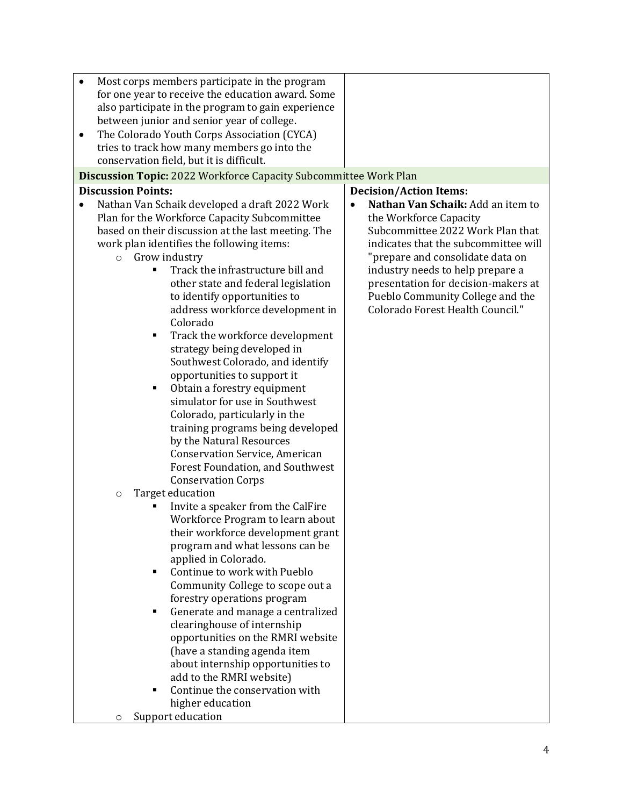| Most corps members participate in the program      |                                                                  |  |  |  |  |  |
|----------------------------------------------------|------------------------------------------------------------------|--|--|--|--|--|
| for one year to receive the education award. Some  |                                                                  |  |  |  |  |  |
| also participate in the program to gain experience |                                                                  |  |  |  |  |  |
| between junior and senior year of college.         |                                                                  |  |  |  |  |  |
| The Colorado Youth Corps Association (CYCA)        |                                                                  |  |  |  |  |  |
| tries to track how many members go into the        |                                                                  |  |  |  |  |  |
| conservation field, but it is difficult.           |                                                                  |  |  |  |  |  |
|                                                    | Discussion Topic: 2022 Workforce Capacity Subcommittee Work Plan |  |  |  |  |  |
| <b>Discussion Points:</b>                          |                                                                  |  |  |  |  |  |
|                                                    | <b>Decision/Action Items:</b>                                    |  |  |  |  |  |
| Nathan Van Schaik developed a draft 2022 Work      | Nathan Van Schaik: Add an item to                                |  |  |  |  |  |
| Plan for the Workforce Capacity Subcommittee       | the Workforce Capacity                                           |  |  |  |  |  |
| based on their discussion at the last meeting. The | Subcommittee 2022 Work Plan that                                 |  |  |  |  |  |
| work plan identifies the following items:          | indicates that the subcommittee will                             |  |  |  |  |  |
| <b>o</b> Grow industry                             | "prepare and consolidate data on                                 |  |  |  |  |  |
| Track the infrastructure bill and                  | industry needs to help prepare a                                 |  |  |  |  |  |
| other state and federal legislation                | presentation for decision-makers at                              |  |  |  |  |  |
| to identify opportunities to                       | Pueblo Community College and the                                 |  |  |  |  |  |
| address workforce development in                   | Colorado Forest Health Council."                                 |  |  |  |  |  |
| Colorado                                           |                                                                  |  |  |  |  |  |
| Track the workforce development<br>٠               |                                                                  |  |  |  |  |  |
| strategy being developed in                        |                                                                  |  |  |  |  |  |
| Southwest Colorado, and identify                   |                                                                  |  |  |  |  |  |
| opportunities to support it                        |                                                                  |  |  |  |  |  |
| Obtain a forestry equipment<br>٠                   |                                                                  |  |  |  |  |  |
| simulator for use in Southwest                     |                                                                  |  |  |  |  |  |
| Colorado, particularly in the                      |                                                                  |  |  |  |  |  |
| training programs being developed                  |                                                                  |  |  |  |  |  |
| by the Natural Resources                           |                                                                  |  |  |  |  |  |
| <b>Conservation Service, American</b>              |                                                                  |  |  |  |  |  |
| Forest Foundation, and Southwest                   |                                                                  |  |  |  |  |  |
| <b>Conservation Corps</b>                          |                                                                  |  |  |  |  |  |
| Target education<br>$\circ$                        |                                                                  |  |  |  |  |  |
| Invite a speaker from the CalFire                  |                                                                  |  |  |  |  |  |
| Workforce Program to learn about                   |                                                                  |  |  |  |  |  |
| their workforce development grant                  |                                                                  |  |  |  |  |  |
| program and what lessons can be                    |                                                                  |  |  |  |  |  |
| applied in Colorado.                               |                                                                  |  |  |  |  |  |
| Continue to work with Pueblo<br>٠                  |                                                                  |  |  |  |  |  |
|                                                    |                                                                  |  |  |  |  |  |
| Community College to scope out a                   |                                                                  |  |  |  |  |  |
| forestry operations program                        |                                                                  |  |  |  |  |  |
| Generate and manage a centralized<br>٠             |                                                                  |  |  |  |  |  |
| clearinghouse of internship                        |                                                                  |  |  |  |  |  |
| opportunities on the RMRI website                  |                                                                  |  |  |  |  |  |
| (have a standing agenda item                       |                                                                  |  |  |  |  |  |
| about internship opportunities to                  |                                                                  |  |  |  |  |  |
| add to the RMRI website)                           |                                                                  |  |  |  |  |  |
| Continue the conservation with<br>٠                |                                                                  |  |  |  |  |  |
| higher education                                   |                                                                  |  |  |  |  |  |
| Support education<br>O                             |                                                                  |  |  |  |  |  |